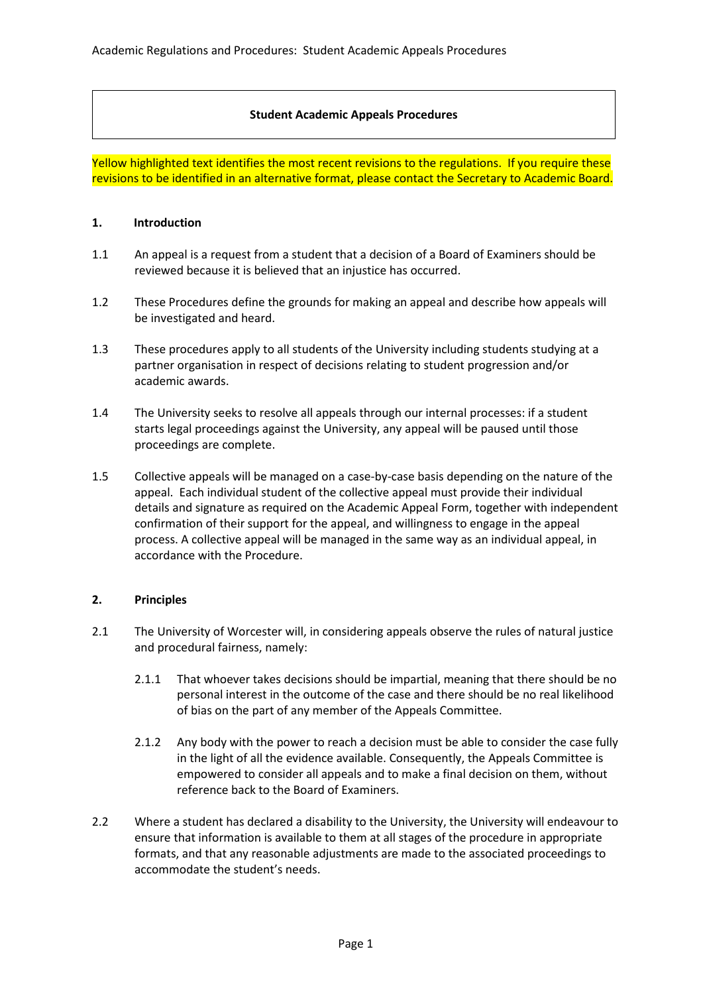### **Student Academic Appeals Procedures**

Yellow highlighted text identifies the most recent revisions to the regulations. If you require these revisions to be identified in an alternative format, please contact the Secretary to Academic Board.

### **1. Introduction**

- 1.1 An appeal is a request from a student that a decision of a Board of Examiners should be reviewed because it is believed that an injustice has occurred.
- 1.2 These Procedures define the grounds for making an appeal and describe how appeals will be investigated and heard.
- 1.3 These procedures apply to all students of the University including students studying at a partner organisation in respect of decisions relating to student progression and/or academic awards.
- 1.4 The University seeks to resolve all appeals through our internal processes: if a student starts legal proceedings against the University, any appeal will be paused until those proceedings are complete.
- 1.5 Collective appeals will be managed on a case-by-case basis depending on the nature of the appeal. Each individual student of the collective appeal must provide their individual details and signature as required on the Academic Appeal Form, together with independent confirmation of their support for the appeal, and willingness to engage in the appeal process. A collective appeal will be managed in the same way as an individual appeal, in accordance with the Procedure.

# **2. Principles**

- 2.1 The University of Worcester will, in considering appeals observe the rules of natural justice and procedural fairness, namely:
	- 2.1.1 That whoever takes decisions should be impartial, meaning that there should be no personal interest in the outcome of the case and there should be no real likelihood of bias on the part of any member of the Appeals Committee.
	- 2.1.2 Any body with the power to reach a decision must be able to consider the case fully in the light of all the evidence available. Consequently, the Appeals Committee is empowered to consider all appeals and to make a final decision on them, without reference back to the Board of Examiners.
- 2.2 Where a student has declared a disability to the University, the University will endeavour to ensure that information is available to them at all stages of the procedure in appropriate formats, and that any reasonable adjustments are made to the associated proceedings to accommodate the student's needs.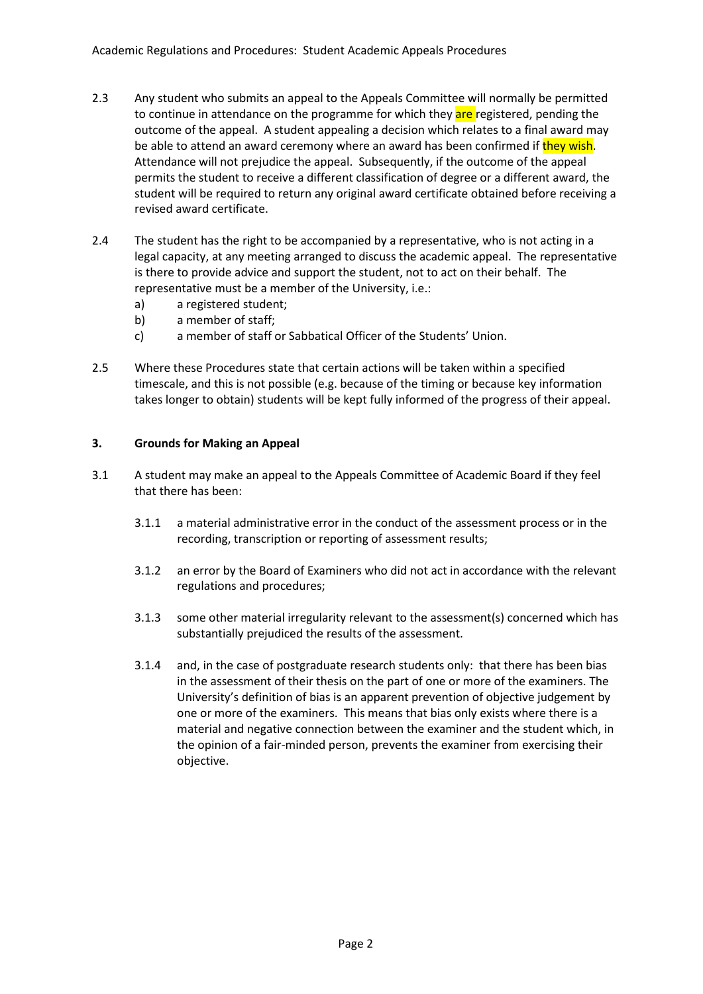- 2.3 Any student who submits an appeal to the Appeals Committee will normally be permitted to continue in attendance on the programme for which they are registered, pending the outcome of the appeal. A student appealing a decision which relates to a final award may be able to attend an award ceremony where an award has been confirmed if they wish. Attendance will not prejudice the appeal. Subsequently, if the outcome of the appeal permits the student to receive a different classification of degree or a different award, the student will be required to return any original award certificate obtained before receiving a revised award certificate.
- 2.4 The student has the right to be accompanied by a representative, who is not acting in a legal capacity, at any meeting arranged to discuss the academic appeal. The representative is there to provide advice and support the student, not to act on their behalf. The representative must be a member of the University, i.e.:
	- a) a registered student;
	- b) a member of staff;
	- c) a member of staff or Sabbatical Officer of the Students' Union.
- 2.5 Where these Procedures state that certain actions will be taken within a specified timescale, and this is not possible (e.g. because of the timing or because key information takes longer to obtain) students will be kept fully informed of the progress of their appeal.

# **3. Grounds for Making an Appeal**

- 3.1 A student may make an appeal to the Appeals Committee of Academic Board if they feel that there has been:
	- 3.1.1 a material administrative error in the conduct of the assessment process or in the recording, transcription or reporting of assessment results;
	- 3.1.2 an error by the Board of Examiners who did not act in accordance with the relevant regulations and procedures;
	- 3.1.3 some other material irregularity relevant to the assessment(s) concerned which has substantially prejudiced the results of the assessment.
	- 3.1.4 and, in the case of postgraduate research students only: that there has been bias in the assessment of their thesis on the part of one or more of the examiners. The University's definition of bias is an apparent prevention of objective judgement by one or more of the examiners. This means that bias only exists where there is a material and negative connection between the examiner and the student which, in the opinion of a fair-minded person, prevents the examiner from exercising their objective.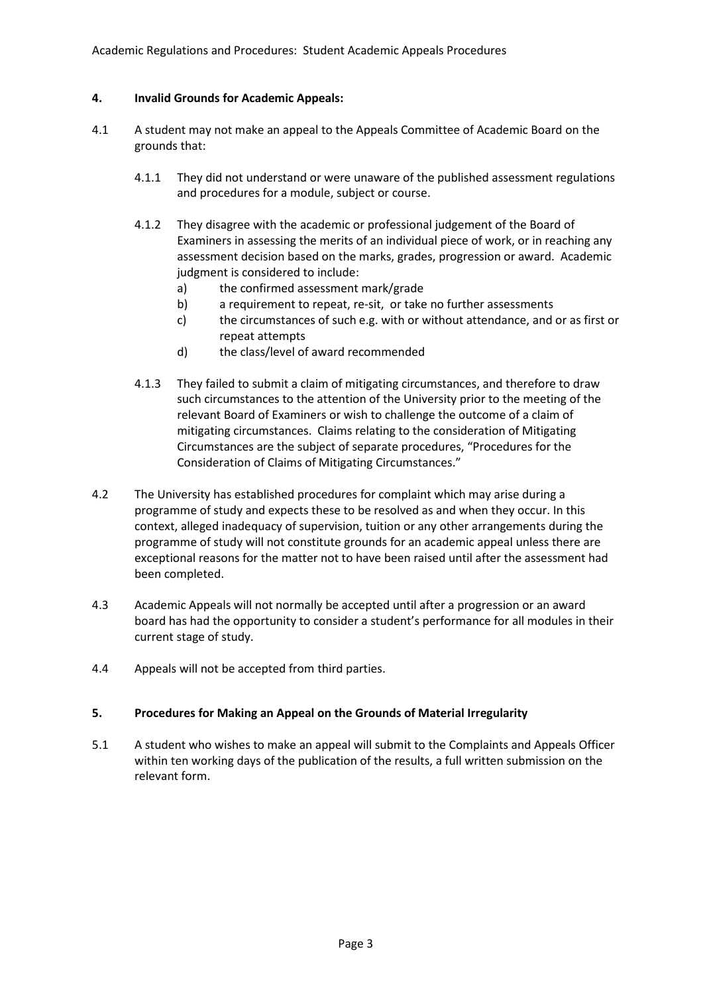# **4. Invalid Grounds for Academic Appeals:**

- 4.1 A student may not make an appeal to the Appeals Committee of Academic Board on the grounds that:
	- 4.1.1 They did not understand or were unaware of the published assessment regulations and procedures for a module, subject or course.
	- 4.1.2 They disagree with the academic or professional judgement of the Board of Examiners in assessing the merits of an individual piece of work, or in reaching any assessment decision based on the marks, grades, progression or award. Academic judgment is considered to include:
		- a) the confirmed assessment mark/grade
		- b) a requirement to repeat, re-sit, or take no further assessments
		- c) the circumstances of such e.g. with or without attendance, and or as first or repeat attempts
		- d) the class/level of award recommended
	- 4.1.3 They failed to submit a claim of mitigating circumstances, and therefore to draw such circumstances to the attention of the University prior to the meeting of the relevant Board of Examiners or wish to challenge the outcome of a claim of mitigating circumstances. Claims relating to the consideration of Mitigating Circumstances are the subject of separate procedures, "Procedures for the Consideration of Claims of Mitigating Circumstances."
- 4.2 The University has established procedures for complaint which may arise during a programme of study and expects these to be resolved as and when they occur. In this context, alleged inadequacy of supervision, tuition or any other arrangements during the programme of study will not constitute grounds for an academic appeal unless there are exceptional reasons for the matter not to have been raised until after the assessment had been completed.
- 4.3 Academic Appeals will not normally be accepted until after a progression or an award board has had the opportunity to consider a student's performance for all modules in their current stage of study.
- 4.4 Appeals will not be accepted from third parties.

# **5. Procedures for Making an Appeal on the Grounds of Material Irregularity**

5.1 A student who wishes to make an appeal will submit to the Complaints and Appeals Officer within ten working days of the publication of the results, a full written submission on the relevant form.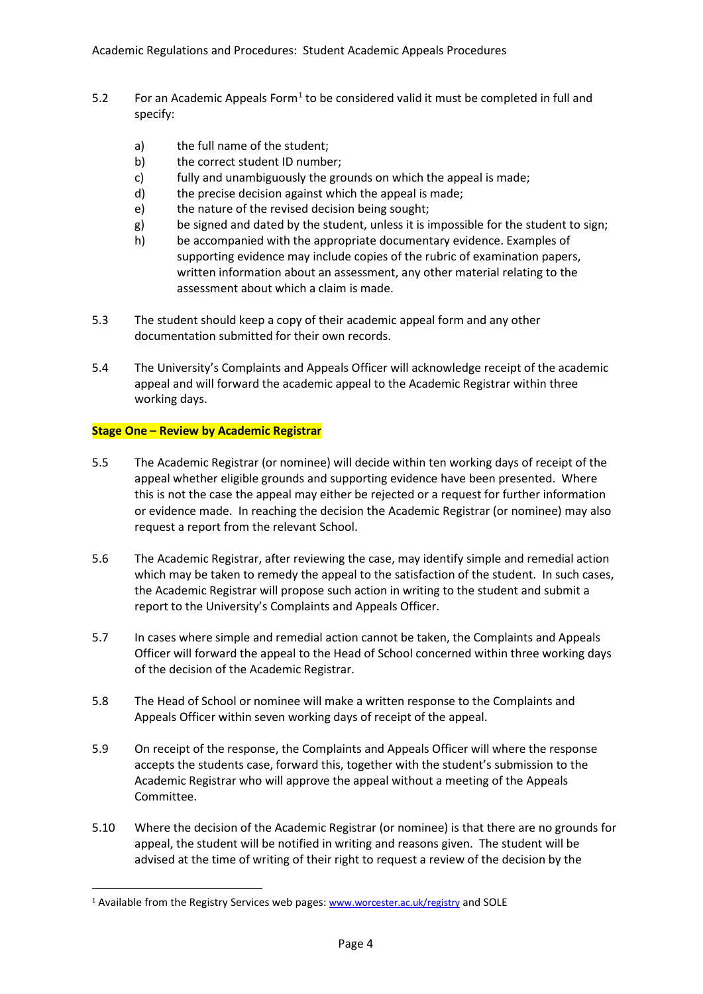- 5.2 For an Academic Appeals Form<sup>[1](#page-3-0)</sup> to be considered valid it must be completed in full and specify:
	- a) the full name of the student;
	- b) the correct student ID number;
	- c) fully and unambiguously the grounds on which the appeal is made;
	- d) the precise decision against which the appeal is made;
	- e) the nature of the revised decision being sought;
	- g) be signed and dated by the student, unless it is impossible for the student to sign;
	- h) be accompanied with the appropriate documentary evidence. Examples of supporting evidence may include copies of the rubric of examination papers, written information about an assessment, any other material relating to the assessment about which a claim is made.
- 5.3 The student should keep a copy of their academic appeal form and any other documentation submitted for their own records.
- 5.4 The University's Complaints and Appeals Officer will acknowledge receipt of the academic appeal and will forward the academic appeal to the Academic Registrar within three working days.

# **Stage One – Review by Academic Registrar**

- 5.5 The Academic Registrar (or nominee) will decide within ten working days of receipt of the appeal whether eligible grounds and supporting evidence have been presented. Where this is not the case the appeal may either be rejected or a request for further information or evidence made. In reaching the decision the Academic Registrar (or nominee) may also request a report from the relevant School.
- 5.6 The Academic Registrar, after reviewing the case, may identify simple and remedial action which may be taken to remedy the appeal to the satisfaction of the student. In such cases, the Academic Registrar will propose such action in writing to the student and submit a report to the University's Complaints and Appeals Officer.
- 5.7 In cases where simple and remedial action cannot be taken, the Complaints and Appeals Officer will forward the appeal to the Head of School concerned within three working days of the decision of the Academic Registrar.
- 5.8 The Head of School or nominee will make a written response to the Complaints and Appeals Officer within seven working days of receipt of the appeal.
- 5.9 On receipt of the response, the Complaints and Appeals Officer will where the response accepts the students case, forward this, together with the student's submission to the Academic Registrar who will approve the appeal without a meeting of the Appeals Committee.
- 5.10 Where the decision of the Academic Registrar (or nominee) is that there are no grounds for appeal, the student will be notified in writing and reasons given. The student will be advised at the time of writing of their right to request a review of the decision by the

<span id="page-3-0"></span><sup>&</sup>lt;sup>1</sup> Available from the Registry Services web pages: [www.worcester.ac.uk/registry](http://www.worcester.ac.uk/registry) and SOLE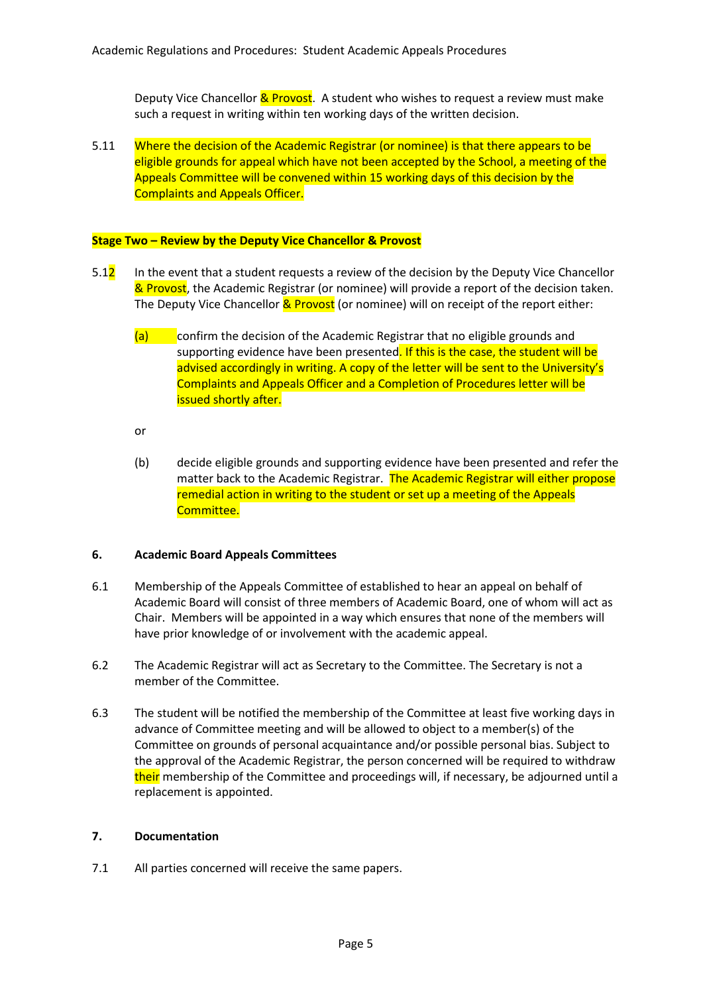Deputy Vice Chancellor & Provost. A student who wishes to request a review must make such a request in writing within ten working days of the written decision.

5.11 Where the decision of the Academic Registrar (or nominee) is that there appears to be eligible grounds for appeal which have not been accepted by the School, a meeting of the Appeals Committee will be convened within 15 working days of this decision by the Complaints and Appeals Officer.

### **Stage Two – Review by the Deputy Vice Chancellor & Provost**

- 5.12 In the event that a student requests a review of the decision by the Deputy Vice Chancellor & Provost, the Academic Registrar (or nominee) will provide a report of the decision taken. The Deputy Vice Chancellor & Provost (or nominee) will on receipt of the report either:
	- $(a)$  confirm the decision of the Academic Registrar that no eligible grounds and supporting evidence have been presented. If this is the case, the student will be advised accordingly in writing. A copy of the letter will be sent to the University's Complaints and Appeals Officer and a Completion of Procedures letter will be issued shortly after.
	- or
	- (b) decide eligible grounds and supporting evidence have been presented and refer the matter back to the Academic Registrar. The Academic Registrar will either propose remedial action in writing to the student or set up a meeting of the Appeals Committee.

# **6. Academic Board Appeals Committees**

- 6.1 Membership of the Appeals Committee of established to hear an appeal on behalf of Academic Board will consist of three members of Academic Board, one of whom will act as Chair. Members will be appointed in a way which ensures that none of the members will have prior knowledge of or involvement with the academic appeal.
- 6.2 The Academic Registrar will act as Secretary to the Committee. The Secretary is not a member of the Committee.
- 6.3 The student will be notified the membership of the Committee at least five working days in advance of Committee meeting and will be allowed to object to a member(s) of the Committee on grounds of personal acquaintance and/or possible personal bias. Subject to the approval of the Academic Registrar, the person concerned will be required to withdraw their membership of the Committee and proceedings will, if necessary, be adjourned until a replacement is appointed.

### **7. Documentation**

7.1 All parties concerned will receive the same papers.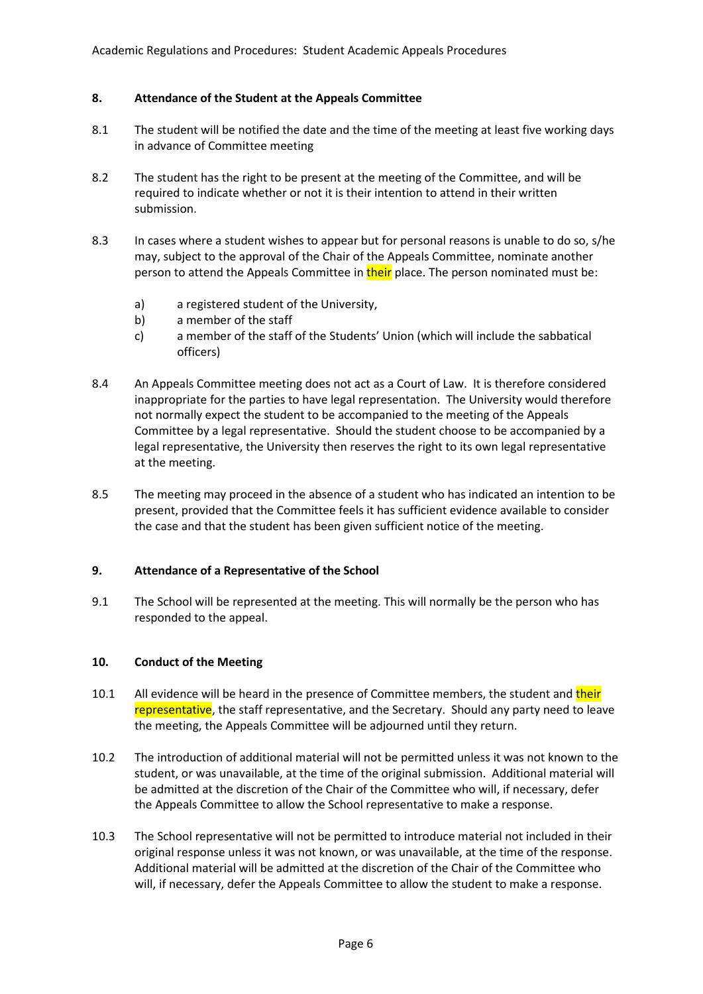# **8. Attendance of the Student at the Appeals Committee**

- 8.1 The student will be notified the date and the time of the meeting at least five working days in advance of Committee meeting
- 8.2 The student has the right to be present at the meeting of the Committee, and will be required to indicate whether or not it is their intention to attend in their written submission.
- 8.3 In cases where a student wishes to appear but for personal reasons is unable to do so, s/he may, subject to the approval of the Chair of the Appeals Committee, nominate another person to attend the Appeals Committee in their place. The person nominated must be:
	- a) a registered student of the University,
	- b) a member of the staff
	- c) a member of the staff of the Students' Union (which will include the sabbatical officers)
- 8.4 An Appeals Committee meeting does not act as a Court of Law. It is therefore considered inappropriate for the parties to have legal representation. The University would therefore not normally expect the student to be accompanied to the meeting of the Appeals Committee by a legal representative. Should the student choose to be accompanied by a legal representative, the University then reserves the right to its own legal representative at the meeting.
- 8.5 The meeting may proceed in the absence of a student who has indicated an intention to be present, provided that the Committee feels it has sufficient evidence available to consider the case and that the student has been given sufficient notice of the meeting.

### **9. Attendance of a Representative of the School**

9.1 The School will be represented at the meeting. This will normally be the person who has responded to the appeal.

### **10. Conduct of the Meeting**

- 10.1 All evidence will be heard in the presence of Committee members, the student and their representative, the staff representative, and the Secretary. Should any party need to leave the meeting, the Appeals Committee will be adjourned until they return.
- 10.2 The introduction of additional material will not be permitted unless it was not known to the student, or was unavailable, at the time of the original submission. Additional material will be admitted at the discretion of the Chair of the Committee who will, if necessary, defer the Appeals Committee to allow the School representative to make a response.
- 10.3 The School representative will not be permitted to introduce material not included in their original response unless it was not known, or was unavailable, at the time of the response. Additional material will be admitted at the discretion of the Chair of the Committee who will, if necessary, defer the Appeals Committee to allow the student to make a response.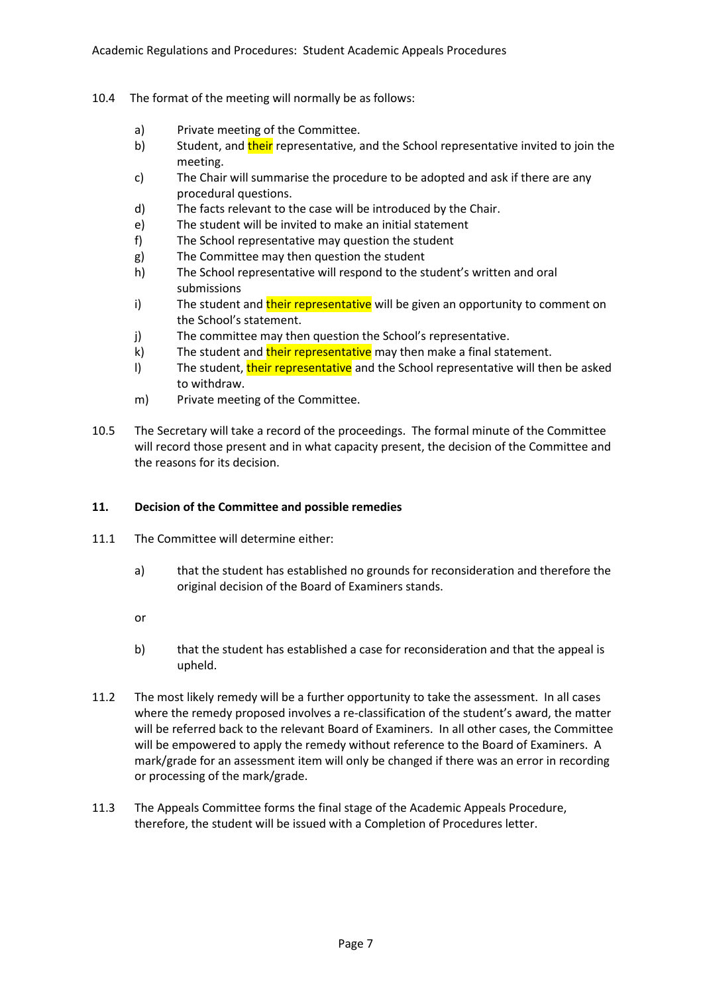- 10.4 The format of the meeting will normally be as follows:
	- a) Private meeting of the Committee.
	- b) Student, and their representative, and the School representative invited to join the meeting.
	- c) The Chair will summarise the procedure to be adopted and ask if there are any procedural questions.
	- d) The facts relevant to the case will be introduced by the Chair.
	- e) The student will be invited to make an initial statement
	- f) The School representative may question the student
	- g) The Committee may then question the student
	- h) The School representative will respond to the student's written and oral submissions
	- i) The student and their representative will be given an opportunity to comment on the School's statement.
	- j) The committee may then question the School's representative.
	- k) The student and their representative may then make a final statement.
	- l) The student, their representative and the School representative will then be asked to withdraw.
	- m) Private meeting of the Committee.
- 10.5 The Secretary will take a record of the proceedings. The formal minute of the Committee will record those present and in what capacity present, the decision of the Committee and the reasons for its decision.

### **11. Decision of the Committee and possible remedies**

- 11.1 The Committee will determine either:
	- a) that the student has established no grounds for reconsideration and therefore the original decision of the Board of Examiners stands.
	- or
	- b) that the student has established a case for reconsideration and that the appeal is upheld.
- 11.2 The most likely remedy will be a further opportunity to take the assessment. In all cases where the remedy proposed involves a re-classification of the student's award, the matter will be referred back to the relevant Board of Examiners. In all other cases, the Committee will be empowered to apply the remedy without reference to the Board of Examiners. A mark/grade for an assessment item will only be changed if there was an error in recording or processing of the mark/grade.
- 11.3 The Appeals Committee forms the final stage of the Academic Appeals Procedure, therefore, the student will be issued with a Completion of Procedures letter.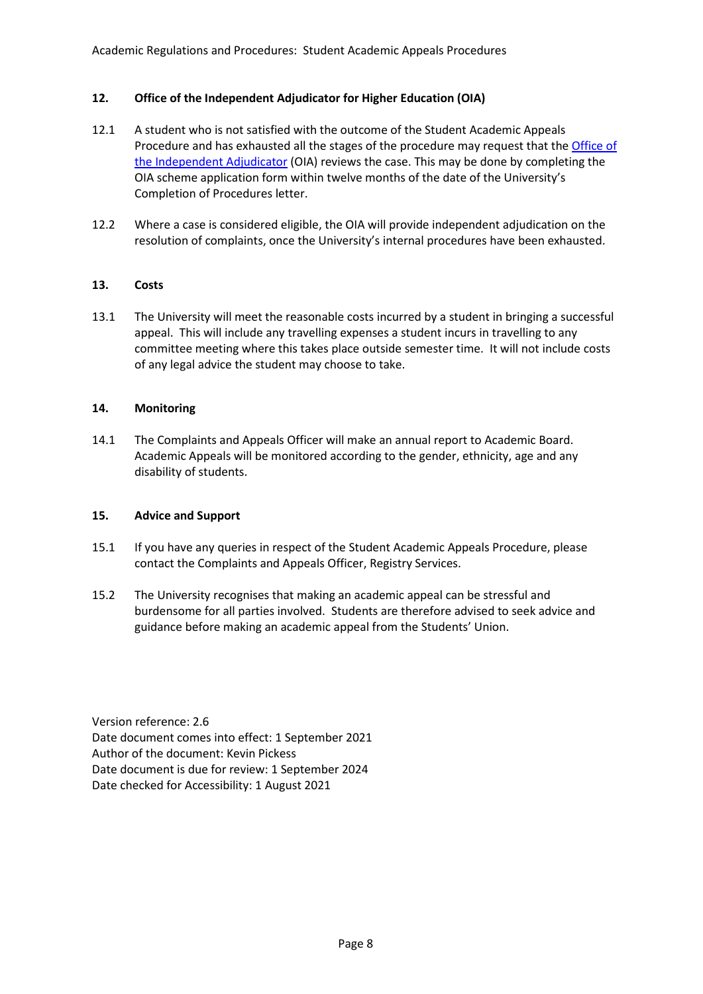# **12. Office of the Independent Adjudicator for Higher Education (OIA)**

- 12.1 A student who is not satisfied with the outcome of the Student Academic Appeals Procedure and has exhausted all the stages of the procedure may request that the [Office of](http://www.oiahe.org.uk/)  [the Independent Adjudicator](http://www.oiahe.org.uk/) (OIA) reviews the case. This may be done by completing the OIA scheme application form within twelve months of the date of the University's Completion of Procedures letter.
- 12.2 Where a case is considered eligible, the OIA will provide independent adjudication on the resolution of complaints, once the University's internal procedures have been exhausted.

# **13. Costs**

13.1 The University will meet the reasonable costs incurred by a student in bringing a successful appeal. This will include any travelling expenses a student incurs in travelling to any committee meeting where this takes place outside semester time. It will not include costs of any legal advice the student may choose to take.

# **14. Monitoring**

14.1 The Complaints and Appeals Officer will make an annual report to Academic Board. Academic Appeals will be monitored according to the gender, ethnicity, age and any disability of students.

# **15. Advice and Support**

- 15.1 If you have any queries in respect of the Student Academic Appeals Procedure, please contact the Complaints and Appeals Officer, Registry Services.
- 15.2 The University recognises that making an academic appeal can be stressful and burdensome for all parties involved. Students are therefore advised to seek advice and guidance before making an academic appeal from the Students' Union.

Version reference: 2.6 Date document comes into effect: 1 September 2021 Author of the document: Kevin Pickess Date document is due for review: 1 September 2024 Date checked for Accessibility: 1 August 2021